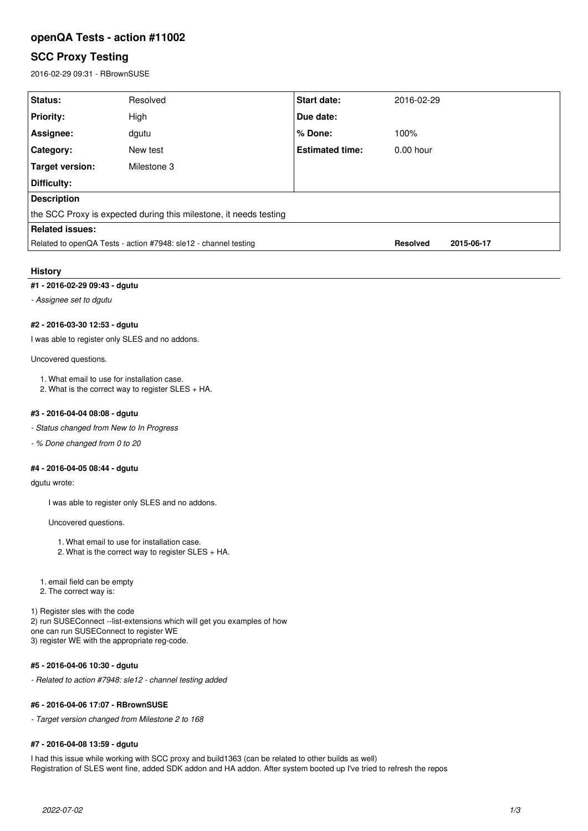# **openQA Tests - action #11002**

# **SCC Proxy Testing**

2016-02-29 09:31 - RBrownSUSE

| Status:                                                           | Resolved    | <b>Start date:</b>     | 2016-02-29      |            |
|-------------------------------------------------------------------|-------------|------------------------|-----------------|------------|
| <b>Priority:</b>                                                  | High        | Due date:              |                 |            |
| Assignee:                                                         | dgutu       | ∣% Done:               | 100%            |            |
| Category:                                                         | New test    | <b>Estimated time:</b> | $0.00$ hour     |            |
| Target version:                                                   | Milestone 3 |                        |                 |            |
| Difficulty:                                                       |             |                        |                 |            |
| <b>Description</b>                                                |             |                        |                 |            |
| the SCC Proxy is expected during this milestone, it needs testing |             |                        |                 |            |
| <b>Related issues:</b>                                            |             |                        |                 |            |
| Related to openQA Tests - action #7948: sle12 - channel testing   |             |                        | <b>Resolved</b> | 2015-06-17 |
|                                                                   |             |                        |                 |            |

# **History**

# **#1 - 2016-02-29 09:43 - dgutu**

*- Assignee set to dgutu*

### **#2 - 2016-03-30 12:53 - dgutu**

I was able to register only SLES and no addons.

#### Uncovered questions.

1. What email to use for installation case.

2. What is the correct way to register SLES + HA.

#### **#3 - 2016-04-04 08:08 - dgutu**

- *Status changed from New to In Progress*
- *% Done changed from 0 to 20*

#### **#4 - 2016-04-05 08:44 - dgutu**

dgutu wrote:

I was able to register only SLES and no addons.

Uncovered questions.

- 1. What email to use for installation case.
- 2. What is the correct way to register SLES + HA.

1. email field can be empty

2. The correct way is:

1) Register sles with the code 2) run SUSEConnect --list-extensions which will get you examples of how one can run SUSEConnect to register WE 3) register WE with the appropriate reg-code.

## **#5 - 2016-04-06 10:30 - dgutu**

*- Related to action #7948: sle12 - channel testing added*

#### **#6 - 2016-04-06 17:07 - RBrownSUSE**

*- Target version changed from Milestone 2 to 168*

#### **#7 - 2016-04-08 13:59 - dgutu**

I had this issue while working with SCC proxy and build1363 (can be related to other builds as well) Registration of SLES went fine, added SDK addon and HA addon. After system booted up I've tried to refresh the repos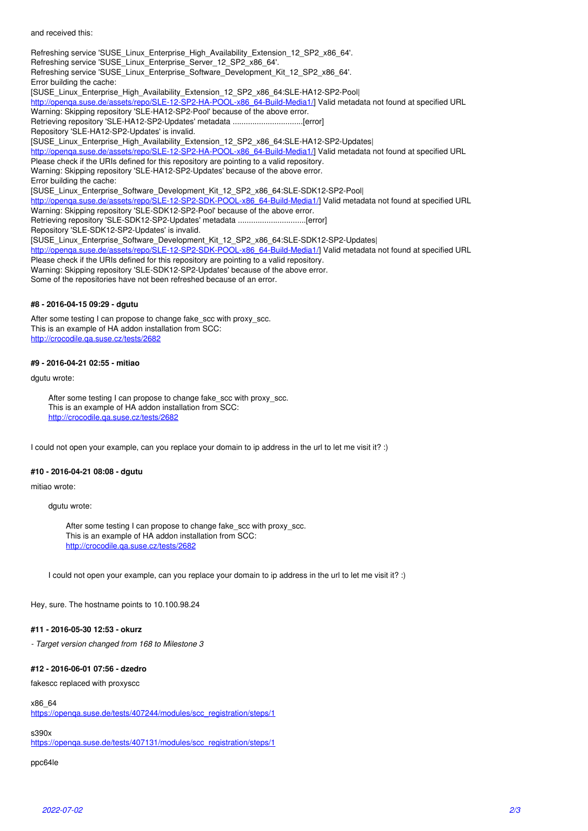and received this:

Refreshing service 'SUSE\_Linux\_Enterprise\_High\_Availability\_Extension\_12\_SP2\_x86\_64'. Refreshing service 'SUSE\_Linux\_Enterprise\_Server\_12\_SP2\_x86\_64'. Refreshing service 'SUSE\_Linux\_Enterprise\_Software\_Development\_Kit\_12\_SP2\_x86\_64'. Error building the cache: [SUSE\_Linux\_Enterprise\_High\_Availability\_Extension\_12\_SP2\_x86\_64:SLE-HA12-SP2-Pool| [http://openqa.suse.de/assets/repo/SLE-12-SP2-HA-POOL-x86\\_64-Build-Media1/\]](http://openqa.suse.de/assets/repo/SLE-12-SP2-HA-POOL-x86_64-Build-Media1/) Valid metadata not found at specified URL Warning: Skipping repository 'SLE-HA12-SP2-Pool' because of the above error. Retrieving repository 'SLE-HA12-SP2-Updates' metadata ................................[error] Repository 'SLE-HA12-SP2-Updates' is invalid. [SUSE\_Linux\_Enterprise\_High\_Availability\_Extension\_12\_SP2\_x86\_64:SLE-HA12-SP2-Updates| http://openga.suse.de/assets/repo/SLE-12-SP2-HA-POOL-x86\_64-Build-Media1/] Valid metadata not found at specified URL Please check if the URIs defined for this repository are pointing to a valid repository. Warning: Skipping repository 'SLE-HA12-SP2-Updates' because of the above error. Error building the cache: [SUSE\_Linux\_Enterprise\_Software\_Development\_Kit\_12\_SP2\_x86\_64:SLE-SDK12-SP2-Pool| [http://openqa.suse.de/assets/repo/SLE-12-SP2-SDK-POOL-x86\\_64-Build-Media1/\]](http://openqa.suse.de/assets/repo/SLE-12-SP2-SDK-POOL-x86_64-Build-Media1/) Valid metadata not found at specified URL Warning: Skipping repository 'SLE-SDK12-SP2-Pool' because of the above error. Retrieving repository 'SLE-SDK12-SP2-Updates' metadata ...............................[error] Repository 'SLE-SDK12-SP2-Updates' is invalid. [SUSE\_Linux\_Enterprise\_Software\_Development\_Kit\_12\_SP2\_x86\_64:SLE-SDK12-SP2-Updates| [http://openqa.suse.de/assets/repo/SLE-12-SP2-SDK-POOL-x86\\_64-Build-Media1/\]](http://openqa.suse.de/assets/repo/SLE-12-SP2-SDK-POOL-x86_64-Build-Media1/) Valid metadata not found at specified URL Please check if the URIs defined for this repository are pointing to a valid repository. Warning: Skipping repository 'SLE-SDK12-SP2-Updates' because of the above error. Some of the repositories have not been refreshed because of an error.

#### **#8 - 2016-04-15 09:29 - dgutu**

After some testing I can propose to change fake\_scc with proxy\_scc. This is an example of HA addon installation from SCC: <http://crocodile.qa.suse.cz/tests/2682>

#### **#9 - 2016-04-21 02:55 - mitiao**

dgutu wrote:

After some testing I can propose to change fake\_scc with proxy\_scc. This is an example of HA addon installation from SCC: <http://crocodile.qa.suse.cz/tests/2682>

I could not open your example, can you replace your domain to ip address in the url to let me visit it? :)

## **#10 - 2016-04-21 08:08 - dgutu**

mitiao wrote:

dgutu wrote:

After some testing I can propose to change fake scc with proxy scc. This is an example of HA addon installation from SCC: <http://crocodile.qa.suse.cz/tests/2682>

I could not open your example, can you replace your domain to ip address in the url to let me visit it? :)

Hey, sure. The hostname points to 10.100.98.24

#### **#11 - 2016-05-30 12:53 - okurz**

*- Target version changed from 168 to Milestone 3*

### **#12 - 2016-06-01 07:56 - dzedro**

fakescc replaced with proxyscc

#### x86\_64

[https://openqa.suse.de/tests/407244/modules/scc\\_registration/steps/1](https://openqa.suse.de/tests/407244/modules/scc_registration/steps/1)

s390x

[https://openqa.suse.de/tests/407131/modules/scc\\_registration/steps/1](https://openqa.suse.de/tests/407131/modules/scc_registration/steps/1)

## ppc64le